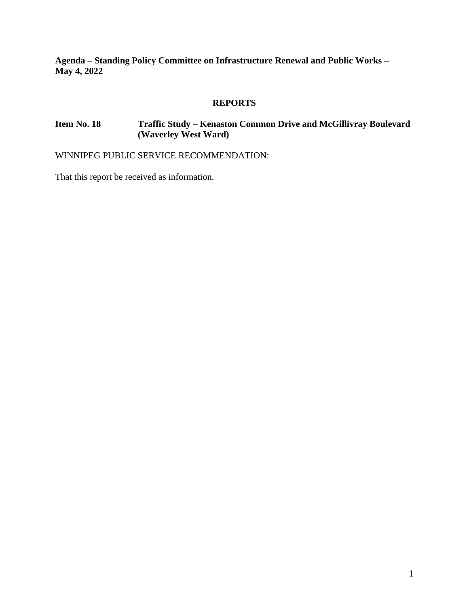**Agenda – Standing Policy Committee on Infrastructure Renewal and Public Works – May 4, 2022**

# **REPORTS**

# **Item No. 18 Traffic Study – Kenaston Common Drive and McGillivray Boulevard (Waverley West Ward)**

WINNIPEG PUBLIC SERVICE RECOMMENDATION:

That this report be received as information.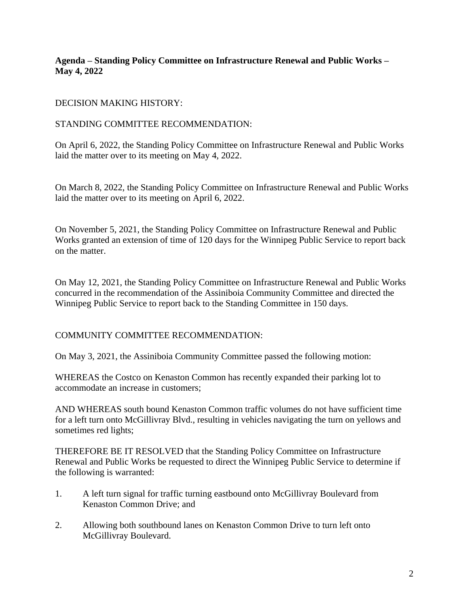## **Agenda – Standing Policy Committee on Infrastructure Renewal and Public Works – May 4, 2022**

# DECISION MAKING HISTORY:

# STANDING COMMITTEE RECOMMENDATION:

On April 6, 2022, the Standing Policy Committee on Infrastructure Renewal and Public Works laid the matter over to its meeting on May 4, 2022.

On March 8, 2022, the Standing Policy Committee on Infrastructure Renewal and Public Works laid the matter over to its meeting on April 6, 2022.

On November 5, 2021, the Standing Policy Committee on Infrastructure Renewal and Public Works granted an extension of time of 120 days for the Winnipeg Public Service to report back on the matter.

On May 12, 2021, the Standing Policy Committee on Infrastructure Renewal and Public Works concurred in the recommendation of the Assiniboia Community Committee and directed the Winnipeg Public Service to report back to the Standing Committee in 150 days.

COMMUNITY COMMITTEE RECOMMENDATION:

On May 3, 2021, the Assiniboia Community Committee passed the following motion:

WHEREAS the Costco on Kenaston Common has recently expanded their parking lot to accommodate an increase in customers;

AND WHEREAS south bound Kenaston Common traffic volumes do not have sufficient time for a left turn onto McGillivray Blvd., resulting in vehicles navigating the turn on yellows and sometimes red lights;

THEREFORE BE IT RESOLVED that the Standing Policy Committee on Infrastructure Renewal and Public Works be requested to direct the Winnipeg Public Service to determine if the following is warranted:

- 1. A left turn signal for traffic turning eastbound onto McGillivray Boulevard from Kenaston Common Drive; and
- 2. Allowing both southbound lanes on Kenaston Common Drive to turn left onto McGillivray Boulevard.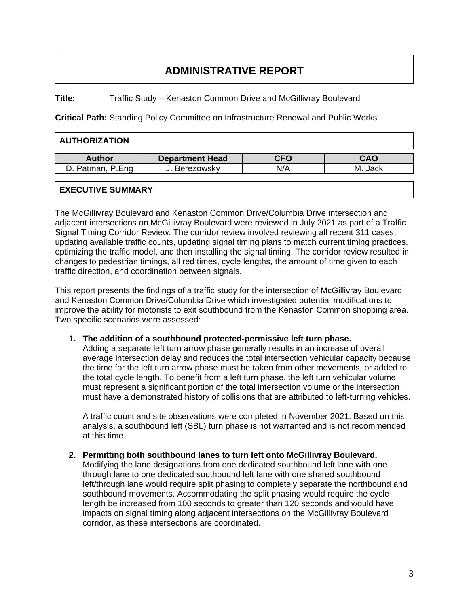# **ADMINISTRATIVE REPORT**

**Title:** Traffic Study – Kenaston Common Drive and McGillivray Boulevard

**Critical Path:** Standing Policy Committee on Infrastructure Renewal and Public Works

| <b>AUTHORIZATION</b>   |            |            |  |  |  |  |  |  |  |  |
|------------------------|------------|------------|--|--|--|--|--|--|--|--|
| <b>Department Head</b> | <b>CFO</b> | <b>CAO</b> |  |  |  |  |  |  |  |  |
| J. Berezowsky          | N/A        | M. Jack    |  |  |  |  |  |  |  |  |
|                        |            |            |  |  |  |  |  |  |  |  |

## **EXECUTIVE SUMMARY**

The McGillivray Boulevard and Kenaston Common Drive/Columbia Drive intersection and adjacent intersections on McGillivray Boulevard were reviewed in July 2021 as part of a Traffic Signal Timing Corridor Review. The corridor review involved reviewing all recent 311 cases, updating available traffic counts, updating signal timing plans to match current timing practices, optimizing the traffic model, and then installing the signal timing. The corridor review resulted in changes to pedestrian timings, all red times, cycle lengths, the amount of time given to each traffic direction, and coordination between signals.

This report presents the findings of a traffic study for the intersection of McGillivray Boulevard and Kenaston Common Drive/Columbia Drive which investigated potential modifications to improve the ability for motorists to exit southbound from the Kenaston Common shopping area. Two specific scenarios were assessed:

#### **1. The addition of a southbound protected-permissive left turn phase.**

Adding a separate left turn arrow phase generally results in an increase of overall average intersection delay and reduces the total intersection vehicular capacity because the time for the left turn arrow phase must be taken from other movements, or added to the total cycle length. To benefit from a left turn phase, the left turn vehicular volume must represent a significant portion of the total intersection volume or the intersection must have a demonstrated history of collisions that are attributed to left-turning vehicles.

A traffic count and site observations were completed in November 2021. Based on this analysis, a southbound left (SBL) turn phase is not warranted and is not recommended at this time.

#### **2. Permitting both southbound lanes to turn left onto McGillivray Boulevard.**

Modifying the lane designations from one dedicated southbound left lane with one through lane to one dedicated southbound left lane with one shared southbound left/through lane would require split phasing to completely separate the northbound and southbound movements. Accommodating the split phasing would require the cycle length be increased from 100 seconds to greater than 120 seconds and would have impacts on signal timing along adjacent intersections on the McGillivray Boulevard corridor, as these intersections are coordinated.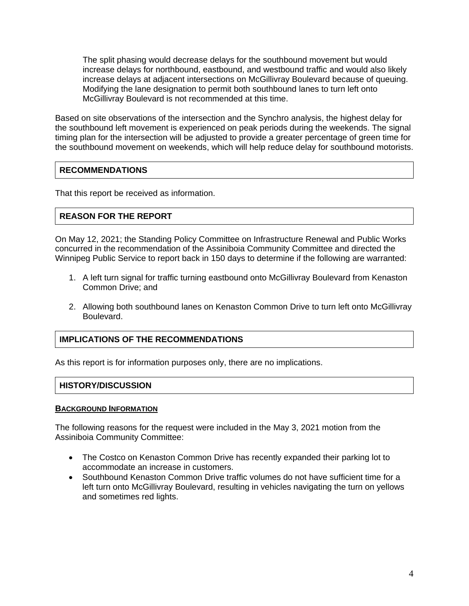The split phasing would decrease delays for the southbound movement but would increase delays for northbound, eastbound, and westbound traffic and would also likely increase delays at adjacent intersections on McGillivray Boulevard because of queuing. Modifying the lane designation to permit both southbound lanes to turn left onto McGillivray Boulevard is not recommended at this time.

Based on site observations of the intersection and the Synchro analysis, the highest delay for the southbound left movement is experienced on peak periods during the weekends. The signal timing plan for the intersection will be adjusted to provide a greater percentage of green time for the southbound movement on weekends, which will help reduce delay for southbound motorists.

## **RECOMMENDATIONS**

That this report be received as information.

# **REASON FOR THE REPORT**

On May 12, 2021; the Standing Policy Committee on Infrastructure Renewal and Public Works concurred in the recommendation of the Assiniboia Community Committee and directed the Winnipeg Public Service to report back in 150 days to determine if the following are warranted:

- 1. A left turn signal for traffic turning eastbound onto McGillivray Boulevard from Kenaston Common Drive; and
- 2. Allowing both southbound lanes on Kenaston Common Drive to turn left onto McGillivray Boulevard.

# **IMPLICATIONS OF THE RECOMMENDATIONS**

As this report is for information purposes only, there are no implications.

#### **HISTORY/DISCUSSION**

#### **BACKGROUND INFORMATION**

The following reasons for the request were included in the May 3, 2021 motion from the Assiniboia Community Committee:

- The Costco on Kenaston Common Drive has recently expanded their parking lot to accommodate an increase in customers.
- Southbound Kenaston Common Drive traffic volumes do not have sufficient time for a left turn onto McGillivray Boulevard, resulting in vehicles navigating the turn on yellows and sometimes red lights.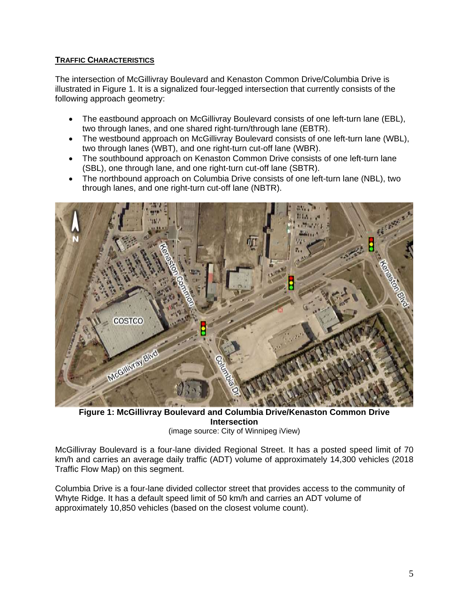# **TRAFFIC CHARACTERISTICS**

The intersection of McGillivray Boulevard and Kenaston Common Drive/Columbia Drive is illustrated in Figure 1. It is a signalized four-legged intersection that currently consists of the following approach geometry:

- The eastbound approach on McGillivray Boulevard consists of one left-turn lane (EBL), two through lanes, and one shared right-turn/through lane (EBTR).
- The westbound approach on McGillivray Boulevard consists of one left-turn lane (WBL), two through lanes (WBT), and one right-turn cut-off lane (WBR).
- The southbound approach on Kenaston Common Drive consists of one left-turn lane (SBL), one through lane, and one right-turn cut-off lane (SBTR).
- The northbound approach on Columbia Drive consists of one left-turn lane (NBL), two through lanes, and one right-turn cut-off lane (NBTR).



**Figure 1: McGillivray Boulevard and Columbia Drive/Kenaston Common Drive Intersection** (image source: City of Winnipeg iView)

McGillivray Boulevard is a four-lane divided Regional Street. It has a posted speed limit of 70 km/h and carries an average daily traffic (ADT) volume of approximately 14,300 vehicles (2018 Traffic Flow Map) on this segment.

Columbia Drive is a four-lane divided collector street that provides access to the community of Whyte Ridge. It has a default speed limit of 50 km/h and carries an ADT volume of approximately 10,850 vehicles (based on the closest volume count).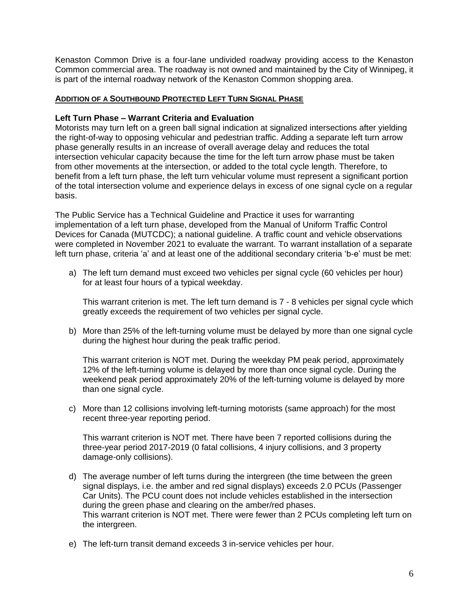Kenaston Common Drive is a four-lane undivided roadway providing access to the Kenaston Common commercial area. The roadway is not owned and maintained by the City of Winnipeg, it is part of the internal roadway network of the Kenaston Common shopping area.

## **ADDITION OF A SOUTHBOUND PROTECTED LEFT TURN SIGNAL PHASE**

#### **Left Turn Phase – Warrant Criteria and Evaluation**

Motorists may turn left on a green ball signal indication at signalized intersections after yielding the right-of-way to opposing vehicular and pedestrian traffic. Adding a separate left turn arrow phase generally results in an increase of overall average delay and reduces the total intersection vehicular capacity because the time for the left turn arrow phase must be taken from other movements at the intersection, or added to the total cycle length. Therefore, to benefit from a left turn phase, the left turn vehicular volume must represent a significant portion of the total intersection volume and experience delays in excess of one signal cycle on a regular basis.

The Public Service has a Technical Guideline and Practice it uses for warranting implementation of a left turn phase, developed from the Manual of Uniform Traffic Control Devices for Canada (MUTCDC); a national guideline. A traffic count and vehicle observations were completed in November 2021 to evaluate the warrant. To warrant installation of a separate left turn phase, criteria 'a' and at least one of the additional secondary criteria 'b-e' must be met:

a) The left turn demand must exceed two vehicles per signal cycle (60 vehicles per hour) for at least four hours of a typical weekday.

This warrant criterion is met. The left turn demand is 7 - 8 vehicles per signal cycle which greatly exceeds the requirement of two vehicles per signal cycle.

b) More than 25% of the left-turning volume must be delayed by more than one signal cycle during the highest hour during the peak traffic period.

This warrant criterion is NOT met. During the weekday PM peak period, approximately 12% of the left-turning volume is delayed by more than once signal cycle. During the weekend peak period approximately 20% of the left-turning volume is delayed by more than one signal cycle.

c) More than 12 collisions involving left-turning motorists (same approach) for the most recent three-year reporting period.

This warrant criterion is NOT met. There have been 7 reported collisions during the three-year period 2017-2019 (0 fatal collisions, 4 injury collisions, and 3 property damage-only collisions).

- d) The average number of left turns during the intergreen (the time between the green signal displays, i.e. the amber and red signal displays) exceeds 2.0 PCUs (Passenger Car Units). The PCU count does not include vehicles established in the intersection during the green phase and clearing on the amber/red phases. This warrant criterion is NOT met. There were fewer than 2 PCUs completing left turn on the intergreen.
- e) The left-turn transit demand exceeds 3 in-service vehicles per hour.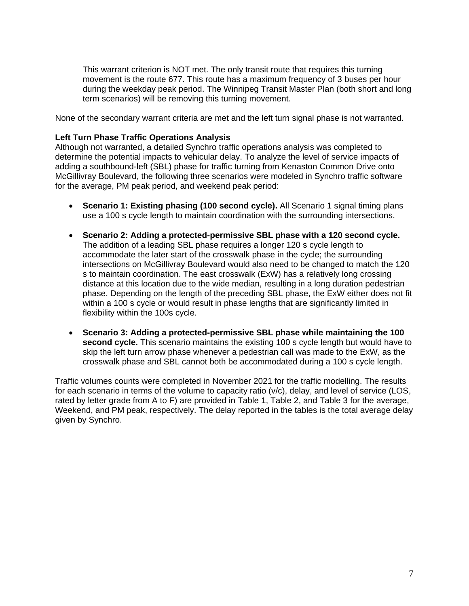This warrant criterion is NOT met. The only transit route that requires this turning movement is the route 677. This route has a maximum frequency of 3 buses per hour during the weekday peak period. The Winnipeg Transit Master Plan (both short and long term scenarios) will be removing this turning movement.

None of the secondary warrant criteria are met and the left turn signal phase is not warranted.

#### **Left Turn Phase Traffic Operations Analysis**

Although not warranted, a detailed Synchro traffic operations analysis was completed to determine the potential impacts to vehicular delay. To analyze the level of service impacts of adding a southbound-left (SBL) phase for traffic turning from Kenaston Common Drive onto McGillivray Boulevard, the following three scenarios were modeled in Synchro traffic software for the average, PM peak period, and weekend peak period:

- **Scenario 1: Existing phasing (100 second cycle).** All Scenario 1 signal timing plans use a 100 s cycle length to maintain coordination with the surrounding intersections.
- **Scenario 2: Adding a protected-permissive SBL phase with a 120 second cycle.** The addition of a leading SBL phase requires a longer 120 s cycle length to accommodate the later start of the crosswalk phase in the cycle; the surrounding intersections on McGillivray Boulevard would also need to be changed to match the 120 s to maintain coordination. The east crosswalk (ExW) has a relatively long crossing distance at this location due to the wide median, resulting in a long duration pedestrian phase. Depending on the length of the preceding SBL phase, the ExW either does not fit within a 100 s cycle or would result in phase lengths that are significantly limited in flexibility within the 100s cycle.
- **Scenario 3: Adding a protected-permissive SBL phase while maintaining the 100 second cycle.** This scenario maintains the existing 100 s cycle length but would have to skip the left turn arrow phase whenever a pedestrian call was made to the ExW, as the crosswalk phase and SBL cannot both be accommodated during a 100 s cycle length.

Traffic volumes counts were completed in November 2021 for the traffic modelling. The results for each scenario in terms of the volume to capacity ratio (v/c), delay, and level of service (LOS, rated by letter grade from A to F) are provided in Table 1, Table 2, and Table 3 for the average, Weekend, and PM peak, respectively. The delay reported in the tables is the total average delay given by Synchro.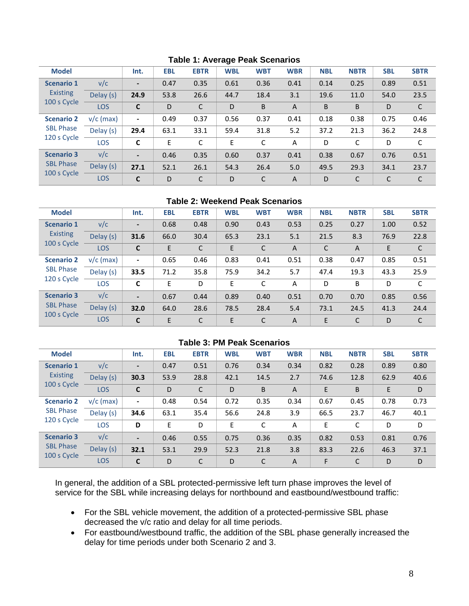| <b>Model</b>                                         |             | Int.                     | <b>EBL</b> | <b>EBTR</b> | <b>WBL</b> | <b>WBT</b> | <b>WBR</b>     | <b>NBL</b> | <b>NBTR</b>  | <b>SBL</b> | <b>SBTR</b>  |
|------------------------------------------------------|-------------|--------------------------|------------|-------------|------------|------------|----------------|------------|--------------|------------|--------------|
| <b>Scenario 1</b><br><b>Existing</b><br>100 s Cycle  | v/c         | $\overline{\phantom{a}}$ | 0.47       | 0.35        | 0.61       | 0.36       | 0.41           | 0.14       | 0.25         | 0.89       | 0.51         |
|                                                      | Delay (s)   | 24.9                     | 53.8       | 26.6        | 44.7       | 18.4       | 3.1            | 19.6       | 11.0         | 54.0       | 23.5         |
|                                                      | LOS         | $\mathbf C$              | D          | C           | D          | B          | $\overline{A}$ | B          | B            | D          | $\mathsf{C}$ |
| <b>Scenario 2</b><br><b>SBL Phase</b><br>120 s Cycle | $v/c$ (max) | $\overline{\phantom{a}}$ | 0.49       | 0.37        | 0.56       | 0.37       | 0.41           | 0.18       | 0.38         | 0.75       | 0.46         |
|                                                      | Delay (s)   | 29.4                     | 63.1       | 33.1        | 59.4       | 31.8       | 5.2            | 37.2       | 21.3         | 36.2       | 24.8         |
|                                                      | <b>LOS</b>  | C                        | E          | C           | E          | C          | A              | D          | C            | D          | C            |
| <b>Scenario 3</b><br><b>SBL Phase</b><br>100 s Cycle | v/c         | $\overline{\phantom{a}}$ | 0.46       | 0.35        | 0.60       | 0.37       | 0.41           | 0.38       | 0.67         | 0.76       | 0.51         |
|                                                      | Delay (s)   | 27.1                     | 52.1       | 26.1        | 54.3       | 26.4       | 5.0            | 49.5       | 29.3         | 34.1       | 23.7         |
|                                                      | <b>LOS</b>  | $\mathbf c$              | D          | C           | D          | C          | A              | D          | $\mathsf{C}$ | C          | C            |

#### **Table 1: Average Peak Scenarios**

#### **Table 2: Weekend Peak Scenarios**

| <b>Model</b>                                         |             | Int.                         | <b>EBL</b> | <b>EBTR</b> | <b>WBL</b> | <b>WBT</b> | <b>WBR</b>     | <b>NBL</b> | <b>NBTR</b>    | <b>SBL</b> | <b>SBTR</b>  |
|------------------------------------------------------|-------------|------------------------------|------------|-------------|------------|------------|----------------|------------|----------------|------------|--------------|
| <b>Scenario 1</b><br><b>Existing</b><br>100 s Cycle  | v/c         | $\qquad \qquad \blacksquare$ | 0.68       | 0.48        | 0.90       | 0.43       | 0.53           | 0.25       | 0.27           | 1.00       | 0.52         |
|                                                      | Delay (s)   | 31.6                         | 66.0       | 30.4        | 65.3       | 23.1       | 5.1            | 21.5       | 8.3            | 76.9       | 22.8         |
|                                                      | <b>LOS</b>  | C                            | E          | C           | E          | C          | $\overline{A}$ | C          | $\overline{A}$ | E          | $\mathsf{C}$ |
| <b>Scenario 2</b><br><b>SBL Phase</b><br>120 s Cycle | $v/c$ (max) | $\blacksquare$               | 0.65       | 0.46        | 0.83       | 0.41       | 0.51           | 0.38       | 0.47           | 0.85       | 0.51         |
|                                                      | Delay (s)   | 33.5                         | 71.2       | 35.8        | 75.9       | 34.2       | 5.7            | 47.4       | 19.3           | 43.3       | 25.9         |
|                                                      | LOS         | C                            | E          | D           | E          | C          | A              | D          | B              | D          | C            |
| <b>Scenario 3</b><br><b>SBL Phase</b><br>100 s Cycle | v/c         | $\overline{\phantom{0}}$     | 0.67       | 0.44        | 0.89       | 0.40       | 0.51           | 0.70       | 0.70           | 0.85       | 0.56         |
|                                                      | Delay (s)   | 32.0                         | 64.0       | 28.6        | 78.5       | 28.4       | 5.4            | 73.1       | 24.5           | 41.3       | 24.4         |
|                                                      | <b>LOS</b>  | C                            | E          | C           | E          | С          | A              | E          | C              | D          | C            |

#### **Table 3: PM Peak Scenarios**

| <b>Model</b>                                         |             | Int.                     | <b>EBL</b> | <b>EBTR</b> | <b>WBL</b> | <b>WBT</b> | <b>WBR</b>     | <b>NBL</b> | <b>NBTR</b> | <b>SBL</b> | <b>SBTR</b> |
|------------------------------------------------------|-------------|--------------------------|------------|-------------|------------|------------|----------------|------------|-------------|------------|-------------|
| <b>Scenario 1</b><br><b>Existing</b><br>100 s Cycle  | v/c         | $\overline{\phantom{a}}$ | 0.47       | 0.51        | 0.76       | 0.34       | 0.34           | 0.82       | 0.28        | 0.89       | 0.80        |
|                                                      | Delay (s)   | 30.3                     | 53.9       | 28.8        | 42.1       | 14.5       | 2.7            | 74.6       | 12.8        | 62.9       | 40.6        |
|                                                      | <b>LOS</b>  | C                        | D          | C           | D          | B          | $\overline{A}$ | E          | B           | E          | D           |
| <b>Scenario 2</b><br><b>SBL Phase</b><br>120 s Cycle | $v/c$ (max) | $\overline{\phantom{a}}$ | 0.48       | 0.54        | 0.72       | 0.35       | 0.34           | 0.67       | 0.45        | 0.78       | 0.73        |
|                                                      | Delay (s)   | 34.6                     | 63.1       | 35.4        | 56.6       | 24.8       | 3.9            | 66.5       | 23.7        | 46.7       | 40.1        |
|                                                      | <b>LOS</b>  | D                        | E          | D           | E          | C          | A              | E          | C           | D          | D           |
| <b>Scenario 3</b><br><b>SBL Phase</b><br>100 s Cycle | v/c         | $\overline{\phantom{a}}$ | 0.46       | 0.55        | 0.75       | 0.36       | 0.35           | 0.82       | 0.53        | 0.81       | 0.76        |
|                                                      | Delay (s)   | 32.1                     | 53.1       | 29.9        | 52.3       | 21.8       | 3.8            | 83.3       | 22.6        | 46.3       | 37.1        |
|                                                      | <b>LOS</b>  | C                        | D          | C           | D          | C          | $\mathsf{A}$   | F          | C           | D          | D           |

In general, the addition of a SBL protected-permissive left turn phase improves the level of service for the SBL while increasing delays for northbound and eastbound/westbound traffic:

- For the SBL vehicle movement, the addition of a protected-permissive SBL phase decreased the v/c ratio and delay for all time periods.
- For eastbound/westbound traffic, the addition of the SBL phase generally increased the delay for time periods under both Scenario 2 and 3.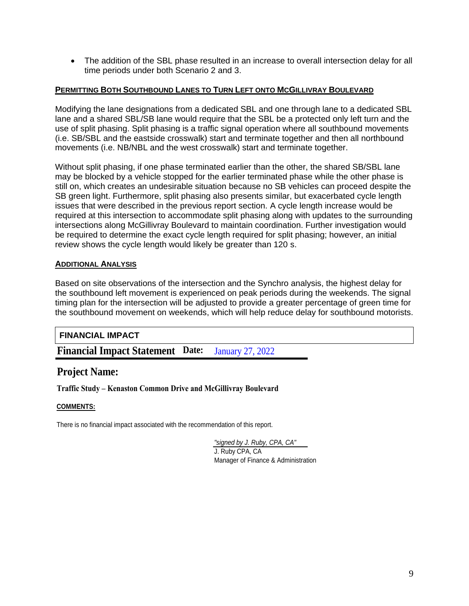• The addition of the SBL phase resulted in an increase to overall intersection delay for all time periods under both Scenario 2 and 3.

#### **PERMITTING BOTH SOUTHBOUND LANES TO TURN LEFT ONTO MCGILLIVRAY BOULEVARD**

Modifying the lane designations from a dedicated SBL and one through lane to a dedicated SBL lane and a shared SBL/SB lane would require that the SBL be a protected only left turn and the use of split phasing. Split phasing is a traffic signal operation where all southbound movements (i.e. SB/SBL and the eastside crosswalk) start and terminate together and then all northbound movements (i.e. NB/NBL and the west crosswalk) start and terminate together.

Without split phasing, if one phase terminated earlier than the other, the shared SB/SBL lane may be blocked by a vehicle stopped for the earlier terminated phase while the other phase is still on, which creates an undesirable situation because no SB vehicles can proceed despite the SB green light. Furthermore, split phasing also presents similar, but exacerbated cycle length issues that were described in the previous report section. A cycle length increase would be required at this intersection to accommodate split phasing along with updates to the surrounding intersections along McGillivray Boulevard to maintain coordination. Further investigation would be required to determine the exact cycle length required for split phasing; however, an initial review shows the cycle length would likely be greater than 120 s.

#### **ADDITIONAL ANALYSIS**

Based on site observations of the intersection and the Synchro analysis, the highest delay for the southbound left movement is experienced on peak periods during the weekends. The signal timing plan for the intersection will be adjusted to provide a greater percentage of green time for the southbound movement on weekends, which will help reduce delay for southbound motorists.

#### **FINANCIAL IMPACT**

**Financial Impact Statement Date:**  January 27, 2022

# **Project Name:**

**Traffic Study – Kenaston Common Drive and McGillivray Boulevard**

#### **COMMENTS:**

There is no financial impact associated with the recommendation of this report.

*"signed by J. Ruby, CPA, CA"* J. Ruby CPA, CA Manager of Finance & Administration